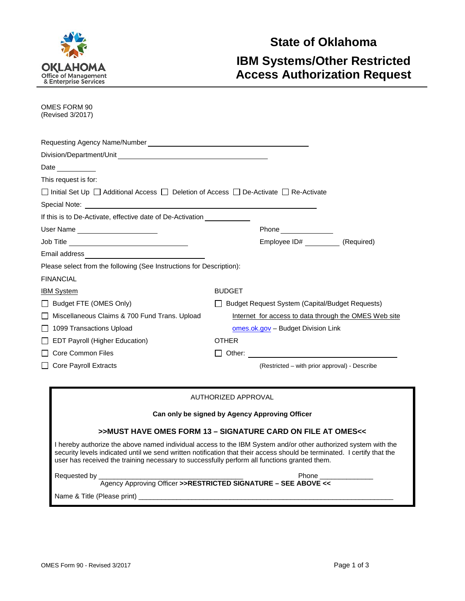

# **State of Oklahoma IBM Systems/Other Restricted Access Authorization Request**

| OMES FORM 90<br>(Revised 3/2017)                                                                                                                                                                                                                                                                                                          |                                                             |  |
|-------------------------------------------------------------------------------------------------------------------------------------------------------------------------------------------------------------------------------------------------------------------------------------------------------------------------------------------|-------------------------------------------------------------|--|
|                                                                                                                                                                                                                                                                                                                                           |                                                             |  |
|                                                                                                                                                                                                                                                                                                                                           |                                                             |  |
| Date $\_\_$                                                                                                                                                                                                                                                                                                                               |                                                             |  |
| This request is for:                                                                                                                                                                                                                                                                                                                      |                                                             |  |
| □ Initial Set Up □ Additional Access □ Deletion of Access □ De-Activate □ Re-Activate                                                                                                                                                                                                                                                     |                                                             |  |
| Special Note: Website the Contract of the Contract of the Contract of the Contract of the Contract of the Contract of the Contract of the Contract of the Contract of the Contract of the Contract of the Contract of the Cont                                                                                                            |                                                             |  |
| If this is to De-Activate, effective date of De-Activation                                                                                                                                                                                                                                                                                |                                                             |  |
| User Name ______________________                                                                                                                                                                                                                                                                                                          | Phone ______________                                        |  |
| Job Title ___________________________________                                                                                                                                                                                                                                                                                             | Employee ID# ___ (Required)                                 |  |
| Email address <b>Email</b> and <b>Email</b> and <b>Email</b>                                                                                                                                                                                                                                                                              |                                                             |  |
| Please select from the following (See Instructions for Description):                                                                                                                                                                                                                                                                      |                                                             |  |
| FINANCIAL                                                                                                                                                                                                                                                                                                                                 |                                                             |  |
| IBM System                                                                                                                                                                                                                                                                                                                                | <b>BUDGET</b>                                               |  |
| □ Budget FTE (OMES Only)                                                                                                                                                                                                                                                                                                                  | □ Budget Request System (Capital/Budget Requests)           |  |
| Miscellaneous Claims & 700 Fund Trans. Upload                                                                                                                                                                                                                                                                                             | Internet for access to data through the OMES Web site       |  |
| □ 1099 Transactions Upload                                                                                                                                                                                                                                                                                                                | omes.ok.gov – Budget Division Link                          |  |
| <b>EDT Payroll (Higher Education)</b>                                                                                                                                                                                                                                                                                                     | <b>OTHER</b>                                                |  |
| □ Core Common Files                                                                                                                                                                                                                                                                                                                       |                                                             |  |
| □ Core Payroll Extracts                                                                                                                                                                                                                                                                                                                   | (Restricted – with prior approval) - Describe               |  |
| AUTHORIZED APPROVAL                                                                                                                                                                                                                                                                                                                       |                                                             |  |
| Can only be signed by Agency Approving Officer                                                                                                                                                                                                                                                                                            |                                                             |  |
|                                                                                                                                                                                                                                                                                                                                           | >>MUST HAVE OMES FORM 13 – SIGNATURE CARD ON FILE AT OMES<< |  |
| I hereby authorize the above named individual access to the IBM System and/or other authorized system with the<br>security levels indicated until we send written notification that their access should be terminated. I certify that the<br>user has received the training necessary to successfully perform all functions granted them. |                                                             |  |
| Requested by _                                                                                                                                                                                                                                                                                                                            | Phone                                                       |  |

Agency Approving Officer **>>RESTRICTED SIGNATURE – SEE ABOVE <<**

 $\_$  ,  $\_$  ,  $\_$  ,  $\_$  ,  $\_$  ,  $\_$  ,  $\_$  ,  $\_$  ,  $\_$  ,  $\_$  ,  $\_$  ,  $\_$  ,  $\_$  ,  $\_$  ,  $\_$  ,  $\_$  ,  $\_$  ,  $\_$  ,  $\_$  ,  $\_$ Name & Title (Please print)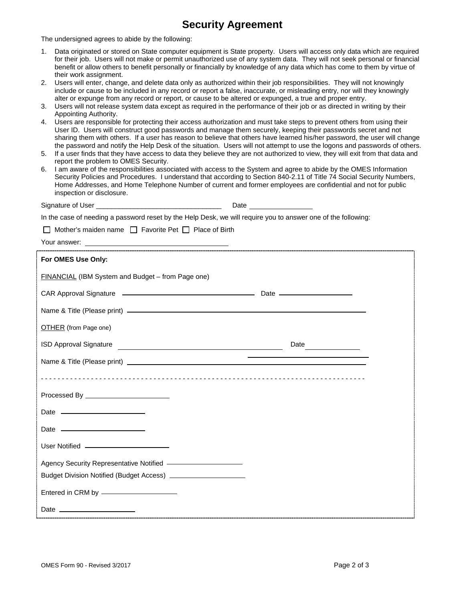### **Security Agreement**

The undersigned agrees to abide by the following:

- 1. Data originated or stored on State computer equipment is State property. Users will access only data which are required for their job. Users will not make or permit unauthorized use of any system data. They will not seek personal or financial benefit or allow others to benefit personally or financially by knowledge of any data which has come to them by virtue of their work assignment.
- 2. Users will enter, change, and delete data only as authorized within their job responsibilities. They will not knowingly include or cause to be included in any record or report a false, inaccurate, or misleading entry, nor will they knowingly alter or expunge from any record or report, or cause to be altered or expunged, a true and proper entry.
- 3. Users will not release system data except as required in the performance of their job or as directed in writing by their Appointing Authority.
- 4. Users are responsible for protecting their access authorization and must take steps to prevent others from using their User ID. Users will construct good passwords and manage them securely, keeping their passwords secret and not sharing them with others. If a user has reason to believe that others have learned his/her password, the user will change the password and notify the Help Desk of the situation. Users will not attempt to use the logons and passwords of others.
- 5. If a user finds that they have access to data they believe they are not authorized to view, they will exit from that data and report the problem to OMES Security.
- 6. I am aware of the responsibilities associated with access to the System and agree to abide by the OMES Information Security Policies and Procedures. I understand that according to Section 840-2.11 of Title 74 Social Security Numbers, Home Addresses, and Home Telephone Number of current and former employees are confidential and not for public inspection or disclosure.

| Signature of User _____________________                                                                       | Date |
|---------------------------------------------------------------------------------------------------------------|------|
| In the case of needing a password reset by the Help Desk, we will require you to answer one of the following: |      |
| $\Box$ Mother's maiden name $\Box$ Favorite Pet $\Box$ Place of Birth                                         |      |
| Your answer:                                                                                                  |      |

| For OMES Use Only:                                |                                                                                                                         |
|---------------------------------------------------|-------------------------------------------------------------------------------------------------------------------------|
| FINANCIAL (IBM System and Budget - from Page one) |                                                                                                                         |
|                                                   |                                                                                                                         |
|                                                   |                                                                                                                         |
| <b>OTHER</b> (from Page one)                      |                                                                                                                         |
|                                                   | Date                                                                                                                    |
|                                                   | <u> The Communication of the Communication of the Communication of the Communication of the Communication of the Co</u> |
|                                                   |                                                                                                                         |
| Processed By _________________________            |                                                                                                                         |
| Date _________________________                    |                                                                                                                         |
|                                                   |                                                                                                                         |
|                                                   |                                                                                                                         |
|                                                   |                                                                                                                         |
|                                                   |                                                                                                                         |
|                                                   |                                                                                                                         |
| Date $\frac{1}{2}$                                |                                                                                                                         |